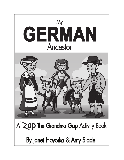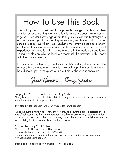## How To Use This Book

This activity book is designed to help create stronger bonds in modern families by encouraging the whole family to learn about their ancestors together. Greater knowledge about family history especially strengthens and empowers youth by creating self-esteem, resilience and a greater sense of control over their lives. Studying the family's past also strengthens the relationships between living family members by creating a shared experience and core identity that no one else in the world can duplicate. Young people can take the lead to accomplish the activities in this book with their family members.

It is our hope that learning about your family's past together can be a fun and exciting adventure and that this book will help all of your family members discover joy in the quest to find out more about your ancestors .

Janet Harold amy Slade

Copyright © 2013 by Janet Hovorka and Amy Slade All rights reserved. No part of this publication may be distributed in any printed or electronic form without written permission.

Illustrated by Bob Bonham http://www.coroflot.com/bbonham

While the authors have made every effort to provide accurate internet addresses at the time of publication, neither the authors nor the publisher assume any responsibility for changes that occur after publication. Further, neither the author nor publisher assume any responsibility for third party websites or their contents.

Published by Family ChartMasters P.O. Box 1080 Pleasant Grove, Utah 84062 www.familychartmasters.com 801-872-4278 For more information, free downloads, quantity discounts and new resources go to www.zapthegrandmagap.com

International Standard Book Number: 978-09888-548-5-7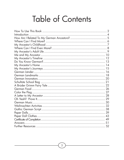## Table of Contents

| 13 |
|----|
|    |
|    |
|    |
|    |
|    |
|    |
|    |
|    |
|    |
|    |
|    |
|    |
|    |
|    |
|    |
|    |
|    |
|    |
| 52 |